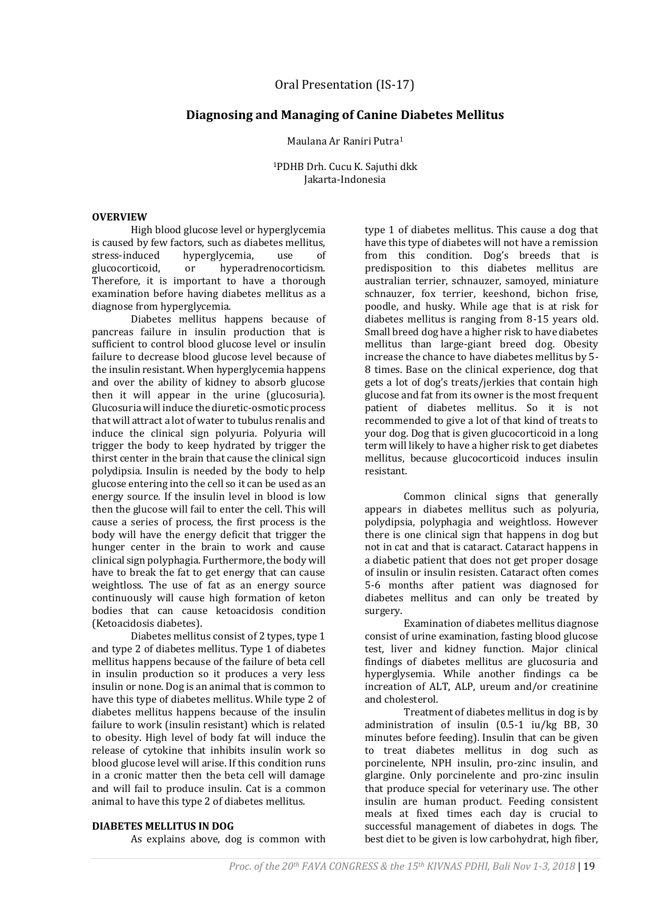## **Diagnosing and Managing of Canine Diabetes Mellitus**

Maulana Ar Raniri Putra<sup>1</sup>

<sup>1</sup>PDHB Drh. Cucu K. Sajuthi dkk Jakarta-Indonesia

## **OVERVIEW**

High blood glucose level or hyperglycemia is caused by few factors, such as diabetes mellitus, stress-induced hyperglycemia, use of glucocorticoid, or hyperadrenocorticism. Therefore, it is important to have a thorough examination before having diabetes mellitus as a diagnose from hyperglycemia.

Diabetes mellitus happens because of pancreas failure in insulin production that is sufficient to control blood glucose level or insulin failure to decrease blood glucose level because of the insulin resistant. When hyperglycemia happens and over the ability of kidney to absorb glucose then it will appear in the urine (glucosuria). Glucosuria will induce the diuretic-osmotic process that will attract a lot of water to tubulus renalis and induce the clinical sign polyuria. Polyuria will trigger the body to keep hydrated by trigger the thirst center in the brain that cause the clinical sign polydipsia. Insulin is needed by the body to help glucose entering into the cell so it can be used as an energy source. If the insulin level in blood is low then the glucose will fail to enter the cell. This will cause a series of process, the first process is the body will have the energy deficit that trigger the hunger center in the brain to work and cause clinical sign polyphagia. Furthermore, the body will have to break the fat to get energy that can cause weightloss. The use of fat as an energy source continuously will cause high formation of keton bodies that can cause ketoacidosis condition (Ketoacidosis diabetes).

Diabetes mellitus consist of 2 types, type 1 and type 2 of diabetes mellitus. Type 1 of diabetes mellitus happens because of the failure of beta cell in insulin production so it produces a very less insulin or none. Dog is an animal that is common to have this type of diabetes mellitus. While type 2 of diabetes mellitus happens because of the insulin failure to work (insulin resistant) which is related to obesity. High level of body fat will induce the release of cytokine that inhibits insulin work so blood glucose level will arise. If this condition runs in a cronic matter then the beta cell will damage and will fail to produce insulin. Cat is a common animal to have this type 2 of diabetes mellitus.

## type 1 of diabetes mellitus. This cause a dog that have this type of diabetes will not have a remission from this condition. Dog's breeds that is predisposition to this diabetes mellitus are australian terrier, schnauzer, samoyed, miniature schnauzer, fox terrier, keeshond, bichon frise, poodle, and husky. While age that is at risk for diabetes mellitus is ranging from 8-15 years old. Small breed dog have a higher risk to have diabetes mellitus than large-giant breed dog. Obesity increase the chance to have diabetes mellitus by 5- 8 times. Base on the clinical experience, dog that gets a lot of dog's treats/jerkies that contain high glucose and fat from its owner is the most frequent patient of diabetes mellitus. So it is not recommended to give a lot of that kind of treats to your dog. Dog that is given glucocorticoid in a long term will likely to have a higher risk to get diabetes mellitus, because glucocorticoid induces insulin resistant.

Common clinical signs that generally appears in diabetes mellitus such as polyuria, polydipsia, polyphagia and weightloss. However there is one clinical sign that happens in dog but not in cat and that is cataract. Cataract happens in a diabetic patient that does not get proper dosage of insulin or insulin resisten. Cataract often comes 5-6 months after patient was diagnosed for diabetes mellitus and can only be treated by surgery.

Examination of diabetes mellitus diagnose consist of urine examination, fasting blood glucose test, liver and kidney function. Major clinical findings of diabetes mellitus are glucosuria and hyperglysemia. While another findings ca be increation of ALT, ALP, ureum and/or creatinine and cholesterol.

Treatment of diabetes mellitus in dog is by administration of insulin (0.5-1 iu/kg BB, 30 minutes before feeding). Insulin that can be given to treat diabetes mellitus in dog such as porcinelente, NPH insulin, pro-zinc insulin, and glargine. Only porcinelente and pro-zinc insulin that produce special for veterinary use. The other insulin are human product. Feeding consistent meals at fixed times each day is crucial to successful management of diabetes in dogs. The best diet to be given is low carbohydrat, high fiber,

## **DIABETES MELLITUS IN DOG**

As explains above, dog is common with